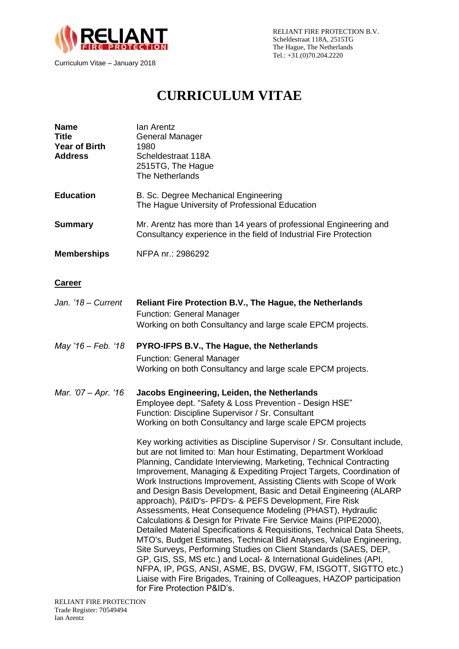

# **CURRICULUM VITAE**

| <b>Name</b><br><b>Title</b><br><b>Year of Birth</b><br><b>Address</b> | Ian Arentz<br>General Manager<br>1980<br>Scheldestraat 118A<br>2515TG, The Hague<br>The Netherlands                                                                                                                                                                                                                                                                                                                                                                                                                                                                                                                                                                                                                                                                                                                                                                                                                                                                                            |  |
|-----------------------------------------------------------------------|------------------------------------------------------------------------------------------------------------------------------------------------------------------------------------------------------------------------------------------------------------------------------------------------------------------------------------------------------------------------------------------------------------------------------------------------------------------------------------------------------------------------------------------------------------------------------------------------------------------------------------------------------------------------------------------------------------------------------------------------------------------------------------------------------------------------------------------------------------------------------------------------------------------------------------------------------------------------------------------------|--|
| <b>Education</b>                                                      | B. Sc. Degree Mechanical Engineering<br>The Hague University of Professional Education                                                                                                                                                                                                                                                                                                                                                                                                                                                                                                                                                                                                                                                                                                                                                                                                                                                                                                         |  |
| <b>Summary</b>                                                        | Mr. Arentz has more than 14 years of professional Engineering and<br>Consultancy experience in the field of Industrial Fire Protection                                                                                                                                                                                                                                                                                                                                                                                                                                                                                                                                                                                                                                                                                                                                                                                                                                                         |  |
| <b>Memberships</b>                                                    | NFPA nr.: 2986292                                                                                                                                                                                                                                                                                                                                                                                                                                                                                                                                                                                                                                                                                                                                                                                                                                                                                                                                                                              |  |
| <b>Career</b>                                                         |                                                                                                                                                                                                                                                                                                                                                                                                                                                                                                                                                                                                                                                                                                                                                                                                                                                                                                                                                                                                |  |
| Jan. '18 - Current                                                    | <b>Reliant Fire Protection B.V., The Hague, the Netherlands</b><br><b>Function: General Manager</b><br>Working on both Consultancy and large scale EPCM projects.                                                                                                                                                                                                                                                                                                                                                                                                                                                                                                                                                                                                                                                                                                                                                                                                                              |  |
| May '16 - Feb. '18                                                    | PYRO-IFPS B.V., The Hague, the Netherlands<br><b>Function: General Manager</b><br>Working on both Consultancy and large scale EPCM projects.                                                                                                                                                                                                                                                                                                                                                                                                                                                                                                                                                                                                                                                                                                                                                                                                                                                   |  |
| Mar. '07 - Apr. '16                                                   | Jacobs Engineering, Leiden, the Netherlands<br>Employee dept. "Safety & Loss Prevention - Design HSE"<br>Function: Discipline Supervisor / Sr. Consultant<br>Working on both Consultancy and large scale EPCM projects                                                                                                                                                                                                                                                                                                                                                                                                                                                                                                                                                                                                                                                                                                                                                                         |  |
|                                                                       | Key working activities as Discipline Supervisor / Sr. Consultant include,<br>but are not limited to: Man hour Estimating, Department Workload<br>Planning, Candidate Interviewing, Marketing, Technical Contracting<br>Improvement, Managing & Expediting Project Targets, Coordination of<br>Work Instructions Improvement, Assisting Clients with Scope of Work<br>and Design Basis Development, Basic and Detail Engineering (ALARP<br>approach), P&ID's- PFD's- & PEFS Development, Fire Risk<br>Assessments, Heat Consequence Modeling (PHAST), Hydraulic<br>Calculations & Design for Private Fire Service Mains (PIPE2000),<br>Detailed Material Specifications & Requisitions, Technical Data Sheets,<br>MTO's, Budget Estimates, Technical Bid Analyses, Value Engineering,<br>Site Surveys, Performing Studies on Client Standards (SAES, DEP,<br>GP, GIS, SS, MS etc.) and Local- & International Guidelines (API,<br>NFPA, IP, PGS, ANSI, ASME, BS, DVGW, FM, ISGOTT, SIGTTO etc.) |  |

Liaise with Fire Brigades, Training of Colleagues, HAZOP participation

for Fire Protection P&ID's.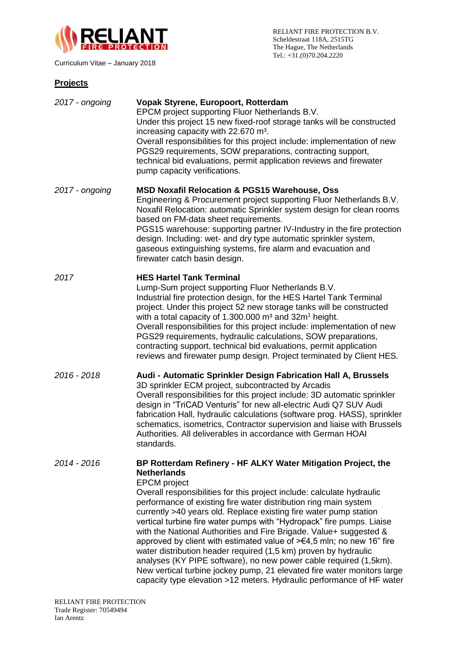

## **Projects**

| 2017 - ongoing | Vopak Styrene, Europoort, Rotterdam<br>EPCM project supporting Fluor Netherlands B.V.<br>Under this project 15 new fixed-roof storage tanks will be constructed<br>increasing capacity with 22.670 m <sup>3</sup> .<br>Overall responsibilities for this project include: implementation of new<br>PGS29 requirements, SOW preparations, contracting support,<br>technical bid evaluations, permit application reviews and firewater<br>pump capacity verifications.                                                                                                                                                                                                                                                                                                                                                                                            |
|----------------|-----------------------------------------------------------------------------------------------------------------------------------------------------------------------------------------------------------------------------------------------------------------------------------------------------------------------------------------------------------------------------------------------------------------------------------------------------------------------------------------------------------------------------------------------------------------------------------------------------------------------------------------------------------------------------------------------------------------------------------------------------------------------------------------------------------------------------------------------------------------|
| 2017 - ongoing | <b>MSD Noxafil Relocation &amp; PGS15 Warehouse, Oss</b><br>Engineering & Procurement project supporting Fluor Netherlands B.V.<br>Noxafil Relocation: automatic Sprinkler system design for clean rooms<br>based on FM-data sheet requirements.<br>PGS15 warehouse: supporting partner IV-Industry in the fire protection<br>design. Including: wet- and dry type automatic sprinkler system,<br>gaseous extinguishing systems, fire alarm and evacuation and<br>firewater catch basin design.                                                                                                                                                                                                                                                                                                                                                                 |
| 2017           | <b>HES Hartel Tank Terminal</b><br>Lump-Sum project supporting Fluor Netherlands B.V.<br>Industrial fire protection design, for the HES Hartel Tank Terminal<br>project. Under this project 52 new storage tanks will be constructed<br>with a total capacity of 1.300.000 $m3$ and 32 $m1$ height.<br>Overall responsibilities for this project include: implementation of new<br>PGS29 requirements, hydraulic calculations, SOW preparations,<br>contracting support, technical bid evaluations, permit application<br>reviews and firewater pump design. Project terminated by Client HES.                                                                                                                                                                                                                                                                  |
| 2016 - 2018    | Audi - Automatic Sprinkler Design Fabrication Hall A, Brussels<br>3D sprinkler ECM project, subcontracted by Arcadis<br>Overall responsibilities for this project include: 3D automatic sprinkler<br>design in "TriCAD Venturis" for new all-electric Audi Q7 SUV Audi<br>fabrication Hall, hydraulic calculations (software prog. HASS), sprinkler<br>schematics, isometrics, Contractor supervision and liaise with Brussels<br>Authorities. All deliverables in accordance with German HOAI<br>standards.                                                                                                                                                                                                                                                                                                                                                    |
| 2014 - 2016    | BP Rotterdam Refinery - HF ALKY Water Mitigation Project, the<br><b>Netherlands</b><br><b>EPCM</b> project<br>Overall responsibilities for this project include: calculate hydraulic<br>performance of existing fire water distribution ring main system<br>currently >40 years old. Replace existing fire water pump station<br>vertical turbine fire water pumps with "Hydropack" fire pumps. Liaise<br>with the National Authorities and Fire Brigade. Value+ suggested &<br>approved by client with estimated value of $\geq \epsilon$ 4,5 mln; no new 16" fire<br>water distribution header required (1,5 km) proven by hydraulic<br>analyses (KY PIPE software), no new power cable required (1,5km).<br>New vertical turbine jockey pump, 21 elevated fire water monitors large<br>capacity type elevation >12 meters. Hydraulic performance of HF water |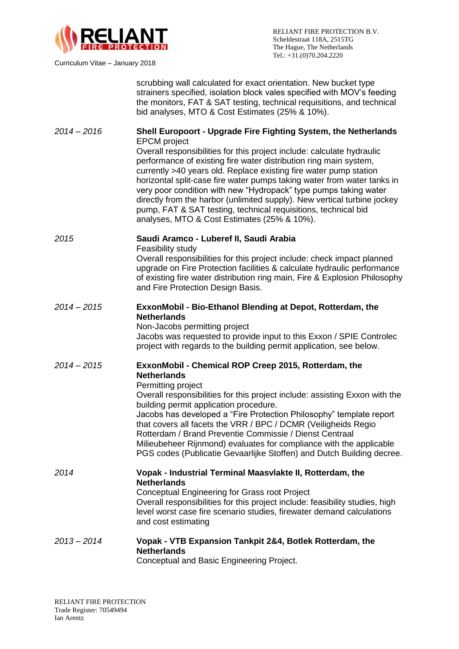

RELIANT FIRE PROTECTION B.V. Scheldestraat 118A, 2515TG The Hague, The Netherlands Tel.: +31.(0)70.204.2220

scrubbing wall calculated for exact orientation. New bucket type strainers specified, isolation block vales specified with MOV's feeding the monitors, FAT & SAT testing, technical requisitions, and technical bid analyses, MTO & Cost Estimates (25% & 10%).

# *2014 – 2016* **Shell Europoort - Upgrade Fire Fighting System, the Netherlands** EPCM project

Overall responsibilities for this project include: calculate hydraulic performance of existing fire water distribution ring main system, currently >40 years old. Replace existing fire water pump station horizontal split-case fire water pumps taking water from water tanks in very poor condition with new "Hydropack" type pumps taking water directly from the harbor (unlimited supply). New vertical turbine jockey pump, FAT & SAT testing, technical requisitions, technical bid analyses, MTO & Cost Estimates (25% & 10%).

## *2015* **Saudi Aramco - Luberef II, Saudi Arabia**

Feasibility study

Overall responsibilities for this project include: check impact planned upgrade on Fire Protection facilities & calculate hydraulic performance of existing fire water distribution ring main, Fire & Explosion Philosophy and Fire Protection Design Basis.

## *2014 – 2015* **ExxonMobil - Bio-Ethanol Blending at Depot, Rotterdam, the Netherlands**

Non-Jacobs permitting project Jacobs was requested to provide input to this Exxon / SPIE Controlec project with regards to the building permit application, see below.

#### *2014 – 2015* **ExxonMobil - Chemical ROP Creep 2015, Rotterdam, the Netherlands** Permitting project Overall responsibilities for this project include: assisting Exxon with the

building permit application procedure. Jacobs has developed a "Fire Protection Philosophy" template report that covers all facets the VRR / BPC / DCMR (Veiligheids Regio Rotterdam / Brand Preventie Commissie / Dienst Centraal

Milieubeheer Rijnmond) evaluates for compliance with the applicable PGS codes (Publicatie Gevaarlijke Stoffen) and Dutch Building decree.

#### *2014* **Vopak - Industrial Terminal Maasvlakte II, Rotterdam, the Netherlands** Conceptual Engineering for Grass root Project Overall responsibilities for this project include: feasibility studies, high level worst case fire scenario studies, firewater demand calculations

## *2013 – 2014* **Vopak - VTB Expansion Tankpit 2&4, Botlek Rotterdam, the Netherlands** Conceptual and Basic Engineering Project.

and cost estimating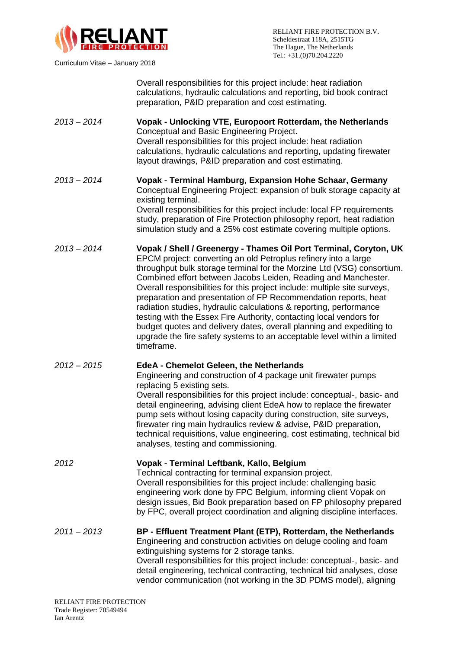

Curriculum Vitae – January 2018

Overall responsibilities for this project include: heat radiation calculations, hydraulic calculations and reporting, bid book contract preparation, P&ID preparation and cost estimating.

- *2013 – 2014* **Vopak - Unlocking VTE, Europoort Rotterdam, the Netherlands** Conceptual and Basic Engineering Project. Overall responsibilities for this project include: heat radiation calculations, hydraulic calculations and reporting, updating firewater layout drawings, P&ID preparation and cost estimating.
- *2013 – 2014* **Vopak - Terminal Hamburg, Expansion Hohe Schaar, Germany**  Conceptual Engineering Project: expansion of bulk storage capacity at existing terminal. Overall responsibilities for this project include: local FP requirements study, preparation of Fire Protection philosophy report, heat radiation simulation study and a 25% cost estimate covering multiple options.
- *2013 – 2014* **Vopak / Shell / Greenergy - Thames Oil Port Terminal, Coryton, UK** EPCM project: converting an old Petroplus refinery into a large throughput bulk storage terminal for the Morzine Ltd (VSG) consortium. Combined effort between Jacobs Leiden, Reading and Manchester. Overall responsibilities for this project include: multiple site surveys, preparation and presentation of FP Recommendation reports, heat radiation studies, hydraulic calculations & reporting, performance testing with the Essex Fire Authority, contacting local vendors for budget quotes and delivery dates, overall planning and expediting to upgrade the fire safety systems to an acceptable level within a limited timeframe.
- *2012 – 2015* **EdeA - Chemelot Geleen, the Netherlands**

Engineering and construction of 4 package unit firewater pumps replacing 5 existing sets. Overall responsibilities for this project include: conceptual-, basic- and detail engineering, advising client EdeA how to replace the firewater pump sets without losing capacity during construction, site surveys, firewater ring main hydraulics review & advise, P&ID preparation, technical requisitions, value engineering, cost estimating, technical bid analyses, testing and commissioning.

*2012* **Vopak - Terminal Leftbank, Kallo, Belgium**  Technical contracting for terminal expansion project. Overall responsibilities for this project include: challenging basic engineering work done by FPC Belgium, informing client Vopak on design issues, Bid Book preparation based on FP philosophy prepared by FPC, overall project coordination and aligning discipline interfaces.

*2011 – 2013* **BP - Effluent Treatment Plant (ETP), Rotterdam, the Netherlands** Engineering and construction activities on deluge cooling and foam extinguishing systems for 2 storage tanks. Overall responsibilities for this project include: conceptual-, basic- and detail engineering, technical contracting, technical bid analyses, close vendor communication (not working in the 3D PDMS model), aligning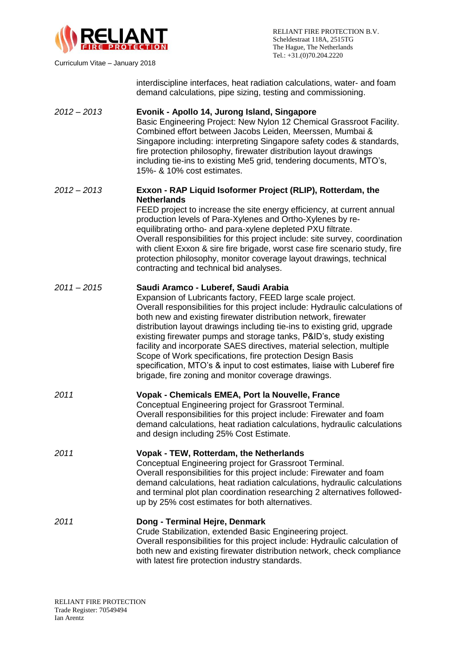

Curriculum Vitae – January 2018

interdiscipline interfaces, heat radiation calculations, water- and foam demand calculations, pipe sizing, testing and commissioning.

| $2012 - 2013$ | Evonik - Apollo 14, Jurong Island, Singapore<br>Basic Engineering Project: New Nylon 12 Chemical Grassroot Facility.<br>Combined effort between Jacobs Leiden, Meerssen, Mumbai &<br>Singapore including: interpreting Singapore safety codes & standards,<br>fire protection philosophy, firewater distribution layout drawings<br>including tie-ins to existing Me5 grid, tendering documents, MTO's,<br>15%- & 10% cost estimates.                                                                                                                                                                                                                                              |
|---------------|------------------------------------------------------------------------------------------------------------------------------------------------------------------------------------------------------------------------------------------------------------------------------------------------------------------------------------------------------------------------------------------------------------------------------------------------------------------------------------------------------------------------------------------------------------------------------------------------------------------------------------------------------------------------------------|
| $2012 - 2013$ | Exxon - RAP Liquid Isoformer Project (RLIP), Rotterdam, the<br><b>Netherlands</b><br>FEED project to increase the site energy efficiency, at current annual<br>production levels of Para-Xylenes and Ortho-Xylenes by re-<br>equilibrating ortho- and para-xylene depleted PXU filtrate.<br>Overall responsibilities for this project include: site survey, coordination<br>with client Exxon & sire fire brigade, worst case fire scenario study, fire<br>protection philosophy, monitor coverage layout drawings, technical<br>contracting and technical bid analyses.                                                                                                           |
| $2011 - 2015$ | Saudi Aramco - Luberef, Saudi Arabia<br>Expansion of Lubricants factory, FEED large scale project.<br>Overall responsibilities for this project include: Hydraulic calculations of<br>both new and existing firewater distribution network, firewater<br>distribution layout drawings including tie-ins to existing grid, upgrade<br>existing firewater pumps and storage tanks, P&ID's, study existing<br>facility and incorporate SAES directives, material selection, multiple<br>Scope of Work specifications, fire protection Design Basis<br>specification, MTO's & input to cost estimates, liaise with Luberef fire<br>brigade, fire zoning and monitor coverage drawings. |
| 2011          | Vopak - Chemicals EMEA, Port la Nouvelle, France<br>Conceptual Engineering project for Grassroot Terminal.<br>Overall responsibilities for this project include: Firewater and foam<br>demand calculations, heat radiation calculations, hydraulic calculations<br>and design including 25% Cost Estimate.                                                                                                                                                                                                                                                                                                                                                                         |
| 2011          | Vopak - TEW, Rotterdam, the Netherlands<br>Conceptual Engineering project for Grassroot Terminal.<br>Overall responsibilities for this project include: Firewater and foam<br>demand calculations, heat radiation calculations, hydraulic calculations<br>and terminal plot plan coordination researching 2 alternatives followed-<br>up by 25% cost estimates for both alternatives.                                                                                                                                                                                                                                                                                              |
| 2011          | Dong - Terminal Hejre, Denmark<br>Crude Stabilization, extended Basic Engineering project.<br>Overall responsibilities for this project include: Hydraulic calculation of<br>both new and existing firewater distribution network, check compliance<br>with latest fire protection industry standards.                                                                                                                                                                                                                                                                                                                                                                             |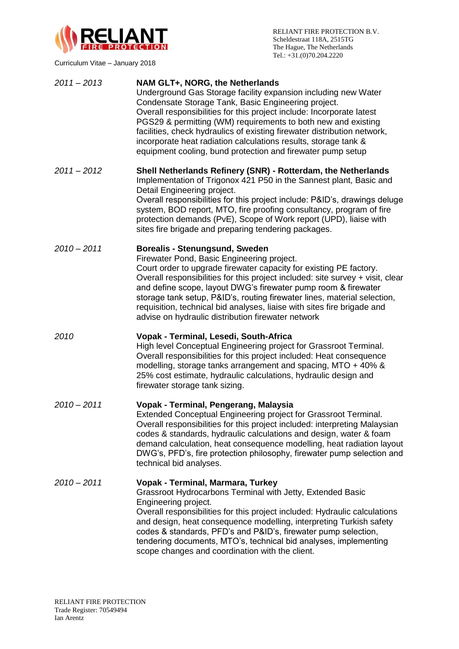

Curriculum Vitae – January 2018

| $2011 - 2013$ | NAM GLT+, NORG, the Netherlands<br>Underground Gas Storage facility expansion including new Water<br>Condensate Storage Tank, Basic Engineering project.<br>Overall responsibilities for this project include: Incorporate latest<br>PGS29 & permitting (WM) requirements to both new and existing<br>facilities, check hydraulics of existing firewater distribution network,<br>incorporate heat radiation calculations results, storage tank &<br>equipment cooling, bund protection and firewater pump setup           |
|---------------|----------------------------------------------------------------------------------------------------------------------------------------------------------------------------------------------------------------------------------------------------------------------------------------------------------------------------------------------------------------------------------------------------------------------------------------------------------------------------------------------------------------------------|
| $2011 - 2012$ | Shell Netherlands Refinery (SNR) - Rotterdam, the Netherlands<br>Implementation of Trigonox 421 P50 in the Sannest plant, Basic and<br>Detail Engineering project.<br>Overall responsibilities for this project include: P&ID's, drawings deluge<br>system, BOD report, MTO, fire proofing consultancy, program of fire<br>protection demands (PvE), Scope of Work report (UPD), liaise with<br>sites fire brigade and preparing tendering packages.                                                                       |
| $2010 - 2011$ | <b>Borealis - Stenungsund, Sweden</b><br>Firewater Pond, Basic Engineering project.<br>Court order to upgrade firewater capacity for existing PE factory.<br>Overall responsibilities for this project included: site survey + visit, clear<br>and define scope, layout DWG's firewater pump room & firewater<br>storage tank setup, P&ID's, routing firewater lines, material selection,<br>requisition, technical bid analyses, liaise with sites fire brigade and<br>advise on hydraulic distribution firewater network |
| 2010          | Vopak - Terminal, Lesedi, South-Africa<br>High level Conceptual Engineering project for Grassroot Terminal.<br>Overall responsibilities for this project included: Heat consequence<br>modelling, storage tanks arrangement and spacing, MTO + 40% &<br>25% cost estimate, hydraulic calculations, hydraulic design and<br>firewater storage tank sizing.                                                                                                                                                                  |
| $2010 - 2011$ | Vopak - Terminal, Pengerang, Malaysia<br>Extended Conceptual Engineering project for Grassroot Terminal.<br>Overall responsibilities for this project included: interpreting Malaysian<br>codes & standards, hydraulic calculations and design, water & foam<br>demand calculation, heat consequence modelling, heat radiation layout<br>DWG's, PFD's, fire protection philosophy, firewater pump selection and<br>technical bid analyses.                                                                                 |
| $2010 - 2011$ | Vopak - Terminal, Marmara, Turkey<br>Grassroot Hydrocarbons Terminal with Jetty, Extended Basic<br>Engineering project.<br>Overall responsibilities for this project included: Hydraulic calculations<br>and design, heat consequence modelling, interpreting Turkish safety<br>codes & standards, PFD's and P&ID's, firewater pump selection,<br>tendering documents, MTO's, technical bid analyses, implementing<br>scope changes and coordination with the client.                                                      |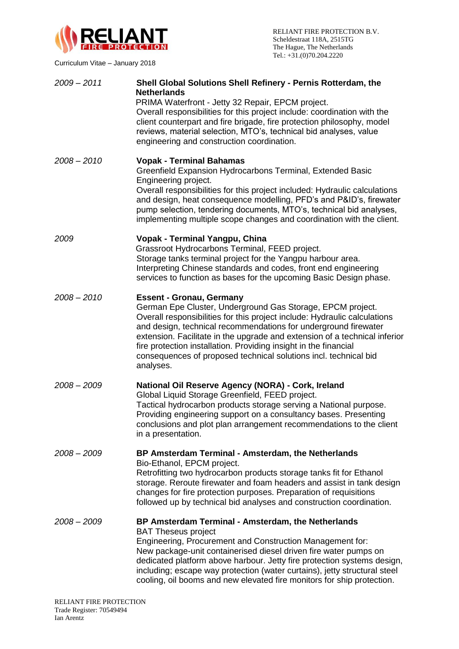

RELIANT FIRE PROTECTION B.V. Scheldestraat 118A, 2515TG The Hague, The Netherlands Tel.: +31.(0)70.204.2220

*2009 – 2011* **Shell Global Solutions Shell Refinery - Pernis Rotterdam, the Netherlands**  PRIMA Waterfront - Jetty 32 Repair, EPCM project. Overall responsibilities for this project include: coordination with the client counterpart and fire brigade, fire protection philosophy, model reviews, material selection, MTO's, technical bid analyses, value engineering and construction coordination. *2008 – 2010* **Vopak - Terminal Bahamas** Greenfield Expansion Hydrocarbons Terminal, Extended Basic Engineering project. Overall responsibilities for this project included: Hydraulic calculations and design, heat consequence modelling, PFD's and P&ID's, firewater pump selection, tendering documents, MTO's, technical bid analyses, implementing multiple scope changes and coordination with the client. *2009* **Vopak - Terminal Yangpu, China** Grassroot Hydrocarbons Terminal, FEED project. Storage tanks terminal project for the Yangpu harbour area. Interpreting Chinese standards and codes, front end engineering services to function as bases for the upcoming Basic Design phase. *2008 – 2010* **Essent - Gronau, Germany** German Epe Cluster, Underground Gas Storage, EPCM project. Overall responsibilities for this project include: Hydraulic calculations and design, technical recommendations for underground firewater extension. Facilitate in the upgrade and extension of a technical inferior fire protection installation. Providing insight in the financial consequences of proposed technical solutions incl. technical bid analyses. *2008 – 2009* **National Oil Reserve Agency (NORA) - Cork, Ireland** Global Liquid Storage Greenfield, FEED project. Tactical hydrocarbon products storage serving a National purpose. Providing engineering support on a consultancy bases. Presenting conclusions and plot plan arrangement recommendations to the client in a presentation. *2008 – 2009* **BP Amsterdam Terminal - Amsterdam, the Netherlands** Bio-Ethanol, EPCM project. Retrofitting two hydrocarbon products storage tanks fit for Ethanol storage. Reroute firewater and foam headers and assist in tank design changes for fire protection purposes. Preparation of requisitions followed up by technical bid analyses and construction coordination. *2008 – 2009* **BP Amsterdam Terminal - Amsterdam, the Netherlands** BAT Theseus project Engineering, Procurement and Construction Management for: New package-unit containerised diesel driven fire water pumps on dedicated platform above harbour. Jetty fire protection systems design, including; escape way protection (water curtains), jetty structural steel cooling, oil booms and new elevated fire monitors for ship protection.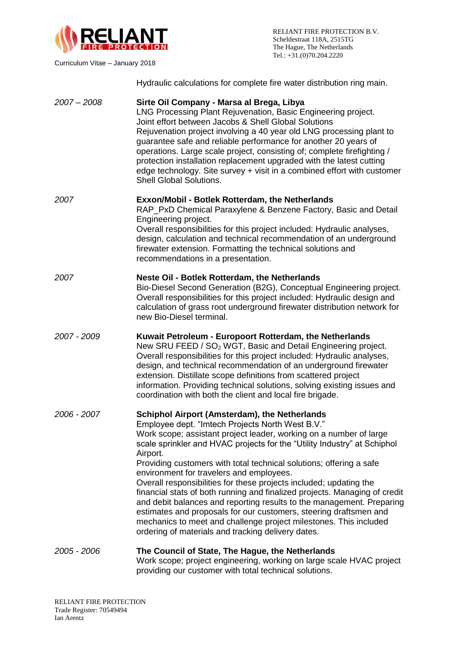

Curriculum Vitae – January 2018

Hydraulic calculations for complete fire water distribution ring main.

| $2007 - 2008$ | Sirte Oil Company - Marsa al Brega, Libya<br>LNG Processing Plant Rejuvenation, Basic Engineering project.<br>Joint effort between Jacobs & Shell Global Solutions<br>Rejuvenation project involving a 40 year old LNG processing plant to<br>guarantee safe and reliable performance for another 20 years of<br>operations. Large scale project, consisting of; complete firefighting /<br>protection installation replacement upgraded with the latest cutting<br>edge technology. Site survey + visit in a combined effort with customer<br><b>Shell Global Solutions.</b>                                                                                                                                                                                                                                          |
|---------------|------------------------------------------------------------------------------------------------------------------------------------------------------------------------------------------------------------------------------------------------------------------------------------------------------------------------------------------------------------------------------------------------------------------------------------------------------------------------------------------------------------------------------------------------------------------------------------------------------------------------------------------------------------------------------------------------------------------------------------------------------------------------------------------------------------------------|
| 2007          | <b>Exxon/Mobil - Botlek Rotterdam, the Netherlands</b><br>RAP_PxD Chemical Paraxylene & Benzene Factory, Basic and Detail<br>Engineering project.<br>Overall responsibilities for this project included: Hydraulic analyses,<br>design, calculation and technical recommendation of an underground<br>firewater extension. Formatting the technical solutions and<br>recommendations in a presentation.                                                                                                                                                                                                                                                                                                                                                                                                                |
| 2007          | Neste Oil - Botlek Rotterdam, the Netherlands<br>Bio-Diesel Second Generation (B2G), Conceptual Engineering project.<br>Overall responsibilities for this project included: Hydraulic design and<br>calculation of grass root underground firewater distribution network for<br>new Bio-Diesel terminal.                                                                                                                                                                                                                                                                                                                                                                                                                                                                                                               |
| 2007 - 2009   | Kuwait Petroleum - Europoort Rotterdam, the Netherlands<br>New SRU FEED / SO <sub>2</sub> WGT, Basic and Detail Engineering project.<br>Overall responsibilities for this project included: Hydraulic analyses,<br>design, and technical recommendation of an underground firewater<br>extension. Distillate scope definitions from scattered project<br>information. Providing technical solutions, solving existing issues and<br>coordination with both the client and local fire brigade.                                                                                                                                                                                                                                                                                                                          |
| 2006 - 2007   | <b>Schiphol Airport (Amsterdam), the Netherlands</b><br>Employee dept. "Imtech Projects North West B.V."<br>Work scope; assistant project leader, working on a number of large<br>scale sprinkler and HVAC projects for the "Utility Industry" at Schiphol<br>Airport.<br>Providing customers with total technical solutions; offering a safe<br>environment for travelers and employees.<br>Overall responsibilities for these projects included; updating the<br>financial stats of both running and finalized projects. Managing of credit<br>and debit balances and reporting results to the management. Preparing<br>estimates and proposals for our customers, steering draftsmen and<br>mechanics to meet and challenge project milestones. This included<br>ordering of materials and tracking delivery dates. |
| 2005 - 2006   | The Council of State, The Hague, the Netherlands<br>Work scope; project engineering, working on large scale HVAC project                                                                                                                                                                                                                                                                                                                                                                                                                                                                                                                                                                                                                                                                                               |

providing our customer with total technical solutions.